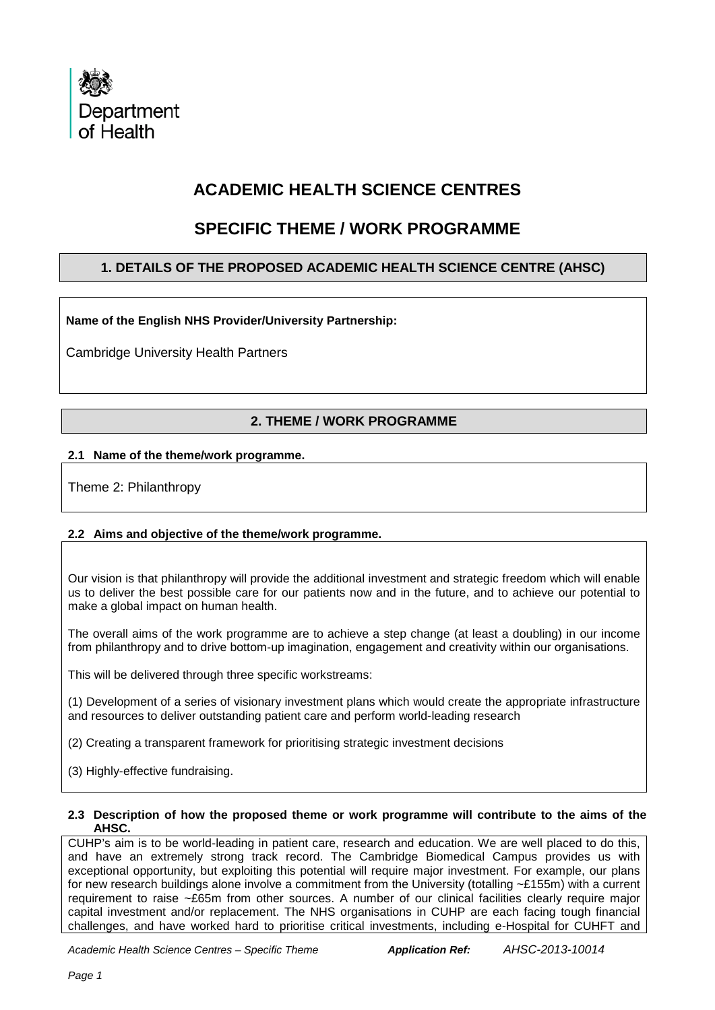

# **ACADEMIC HEALTH SCIENCE CENTRES**

# **SPECIFIC THEME / WORK PROGRAMME**

## **1. DETAILS OF THE PROPOSED ACADEMIC HEALTH SCIENCE CENTRE (AHSC)**

**Name of the English NHS Provider/University Partnership:**

Cambridge University Health Partners

## **2. THEME / WORK PROGRAMME**

## **2.1 Name of the theme/work programme.**

Theme 2: Philanthropy

## **2.2 Aims and objective of the theme/work programme.**

Our vision is that philanthropy will provide the additional investment and strategic freedom which will enable us to deliver the best possible care for our patients now and in the future, and to achieve our potential to make a global impact on human health.

The overall aims of the work programme are to achieve a step change (at least a doubling) in our income from philanthropy and to drive bottom-up imagination, engagement and creativity within our organisations.

This will be delivered through three specific workstreams:

(1) Development of a series of visionary investment plans which would create the appropriate infrastructure and resources to deliver outstanding patient care and perform world-leading research

- (2) Creating a transparent framework for prioritising strategic investment decisions
- (3) Highly-effective fundraising.

#### **2.3 Description of how the proposed theme or work programme will contribute to the aims of the AHSC.**

CUHP's aim is to be world-leading in patient care, research and education. We are well placed to do this, and have an extremely strong track record. The Cambridge Biomedical Campus provides us with exceptional opportunity, but exploiting this potential will require major investment. For example, our plans for new research buildings alone involve a commitment from the University (totalling ~£155m) with a current requirement to raise ~£65m from other sources. A number of our clinical facilities clearly require major capital investment and/or replacement. The NHS organisations in CUHP are each facing tough financial challenges, and have worked hard to prioritise critical investments, including e-Hospital for CUHFT and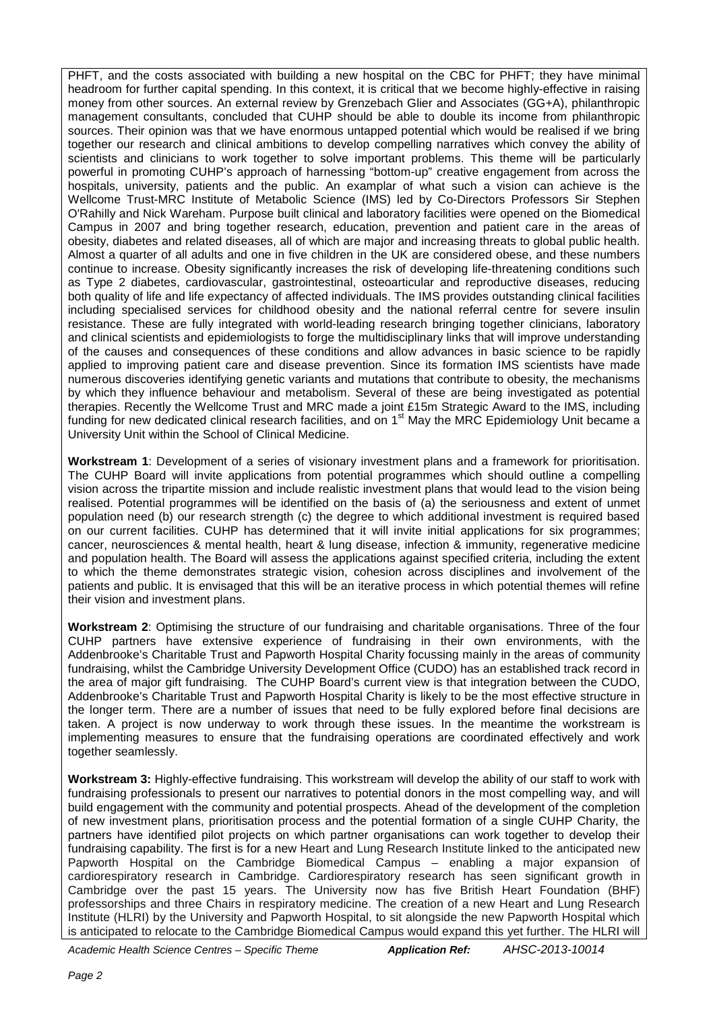PHFT, and the costs associated with building a new hospital on the CBC for PHFT; they have minimal headroom for further capital spending. In this context, it is critical that we become highly-effective in raising money from other sources. An external review by Grenzebach Glier and Associates (GG+A), philanthropic management consultants, concluded that CUHP should be able to double its income from philanthropic sources. Their opinion was that we have enormous untapped potential which would be realised if we bring together our research and clinical ambitions to develop compelling narratives which convey the ability of scientists and clinicians to work together to solve important problems. This theme will be particularly powerful in promoting CUHP's approach of harnessing "bottom-up" creative engagement from across the hospitals, university, patients and the public. An examplar of what such a vision can achieve is the Wellcome Trust-MRC Institute of Metabolic Science (IMS) led by Co-Directors Professors Sir Stephen O'Rahilly and Nick Wareham. Purpose built clinical and laboratory facilities were opened on the Biomedical Campus in 2007 and bring together research, education, prevention and patient care in the areas of obesity, diabetes and related diseases, all of which are major and increasing threats to global public health. Almost a quarter of all adults and one in five children in the UK are considered obese, and these numbers continue to increase. Obesity significantly increases the risk of developing life-threatening conditions such as Type 2 diabetes, cardiovascular, gastrointestinal, osteoarticular and reproductive diseases, reducing both quality of life and life expectancy of affected individuals. The IMS provides outstanding clinical facilities including specialised services for childhood obesity and the national referral centre for severe insulin resistance. These are fully integrated with world-leading research bringing together clinicians, laboratory and clinical scientists and epidemiologists to forge the multidisciplinary links that will improve understanding of the causes and consequences of these conditions and allow advances in basic science to be rapidly applied to improving patient care and disease prevention. Since its formation IMS scientists have made numerous discoveries identifying genetic variants and mutations that contribute to obesity, the mechanisms by which they influence behaviour and metabolism. Several of these are being investigated as potential therapies. Recently the Wellcome Trust and MRC made a joint £15m Strategic Award to the IMS, including funding for new dedicated clinical research facilities, and on 1<sup>st</sup> May the MRC Epidemiology Unit became a University Unit within the School of Clinical Medicine.

**Workstream 1**: Development of a series of visionary investment plans and a framework for prioritisation. The CUHP Board will invite applications from potential programmes which should outline a compelling vision across the tripartite mission and include realistic investment plans that would lead to the vision being realised. Potential programmes will be identified on the basis of (a) the seriousness and extent of unmet population need (b) our research strength (c) the degree to which additional investment is required based on our current facilities. CUHP has determined that it will invite initial applications for six programmes; cancer, neurosciences & mental health, heart & lung disease, infection & immunity, regenerative medicine and population health. The Board will assess the applications against specified criteria, including the extent to which the theme demonstrates strategic vision, cohesion across disciplines and involvement of the patients and public. It is envisaged that this will be an iterative process in which potential themes will refine their vision and investment plans.

**Workstream 2**: Optimising the structure of our fundraising and charitable organisations. Three of the four CUHP partners have extensive experience of fundraising in their own environments, with the Addenbrooke's Charitable Trust and Papworth Hospital Charity focussing mainly in the areas of community fundraising, whilst the Cambridge University Development Office (CUDO) has an established track record in the area of major gift fundraising. The CUHP Board's current view is that integration between the CUDO, Addenbrooke's Charitable Trust and Papworth Hospital Charity is likely to be the most effective structure in the longer term. There are a number of issues that need to be fully explored before final decisions are taken. A project is now underway to work through these issues. In the meantime the workstream is implementing measures to ensure that the fundraising operations are coordinated effectively and work together seamlessly.

**Workstream 3:** Highly-effective fundraising. This workstream will develop the ability of our staff to work with fundraising professionals to present our narratives to potential donors in the most compelling way, and will build engagement with the community and potential prospects. Ahead of the development of the completion of new investment plans, prioritisation process and the potential formation of a single CUHP Charity, the partners have identified pilot projects on which partner organisations can work together to develop their fundraising capability. The first is for a new Heart and Lung Research Institute linked to the anticipated new Papworth Hospital on the Cambridge Biomedical Campus – enabling a major expansion of cardiorespiratory research in Cambridge. Cardiorespiratory research has seen significant growth in Cambridge over the past 15 years. The University now has five British Heart Foundation (BHF) professorships and three Chairs in respiratory medicine. The creation of a new Heart and Lung Research Institute (HLRI) by the University and Papworth Hospital, to sit alongside the new Papworth Hospital which is anticipated to relocate to the Cambridge Biomedical Campus would expand this yet further. The HLRI will

*Academic Health Science Centres – Specific Theme Application Ref: AHSC-2013-10014*